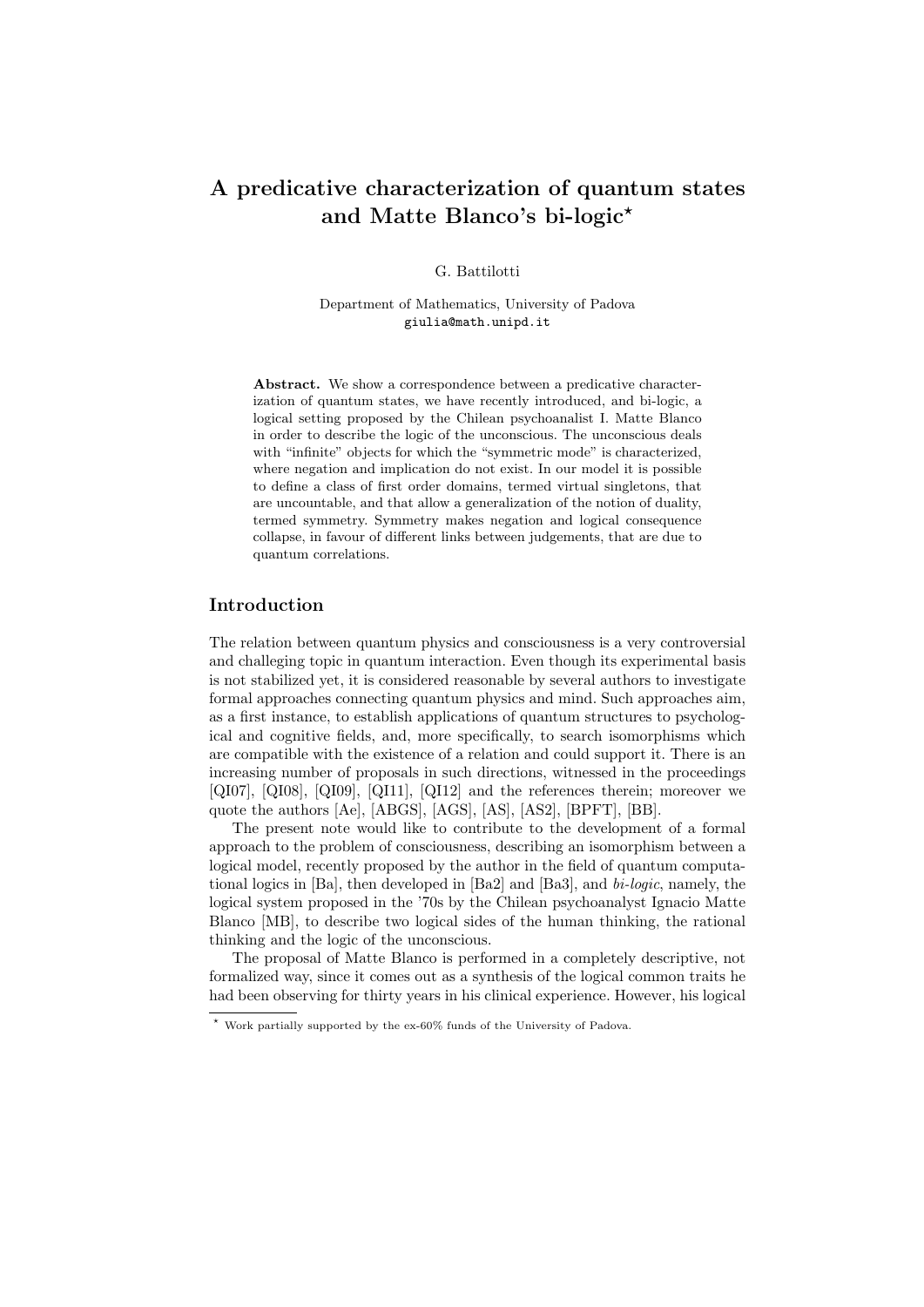# A predicative characterization of quantum states and Matte Blanco's bi-logic<sup>\*</sup>

G. Battilotti

Department of Mathematics, University of Padova giulia@math.unipd.it

Abstract. We show a correspondence between a predicative characterization of quantum states, we have recently introduced, and bi-logic, a logical setting proposed by the Chilean psychoanalist I. Matte Blanco in order to describe the logic of the unconscious. The unconscious deals with "infinite" objects for which the "symmetric mode" is characterized, where negation and implication do not exist. In our model it is possible to define a class of first order domains, termed virtual singletons, that are uncountable, and that allow a generalization of the notion of duality, termed symmetry. Symmetry makes negation and logical consequence collapse, in favour of different links between judgements, that are due to quantum correlations.

#### Introduction

The relation between quantum physics and consciousness is a very controversial and challeging topic in quantum interaction. Even though its experimental basis is not stabilized yet, it is considered reasonable by several authors to investigate formal approaches connecting quantum physics and mind. Such approaches aim, as a first instance, to establish applications of quantum structures to psychological and cognitive fields, and, more specifically, to search isomorphisms which are compatible with the existence of a relation and could support it. There is an increasing number of proposals in such directions, witnessed in the proceedings [QI07], [QI08], [QI09], [QI11], [QI12] and the references therein; moreover we quote the authors [Ae], [ABGS], [AGS], [AS], [AS2], [BPFT], [BB].

The present note would like to contribute to the development of a formal approach to the problem of consciousness, describing an isomorphism between a logical model, recently proposed by the author in the field of quantum computational logics in  $[Ba]$ , then developed in  $[Ba2]$  and  $[Ba3]$ , and  $bi\text{-}logic$ , namely, the logical system proposed in the '70s by the Chilean psychoanalyst Ignacio Matte Blanco [MB], to describe two logical sides of the human thinking, the rational thinking and the logic of the unconscious.

The proposal of Matte Blanco is performed in a completely descriptive, not formalized way, since it comes out as a synthesis of the logical common traits he had been observing for thirty years in his clinical experience. However, his logical

<sup>?</sup> Work partially supported by the ex-60% funds of the University of Padova.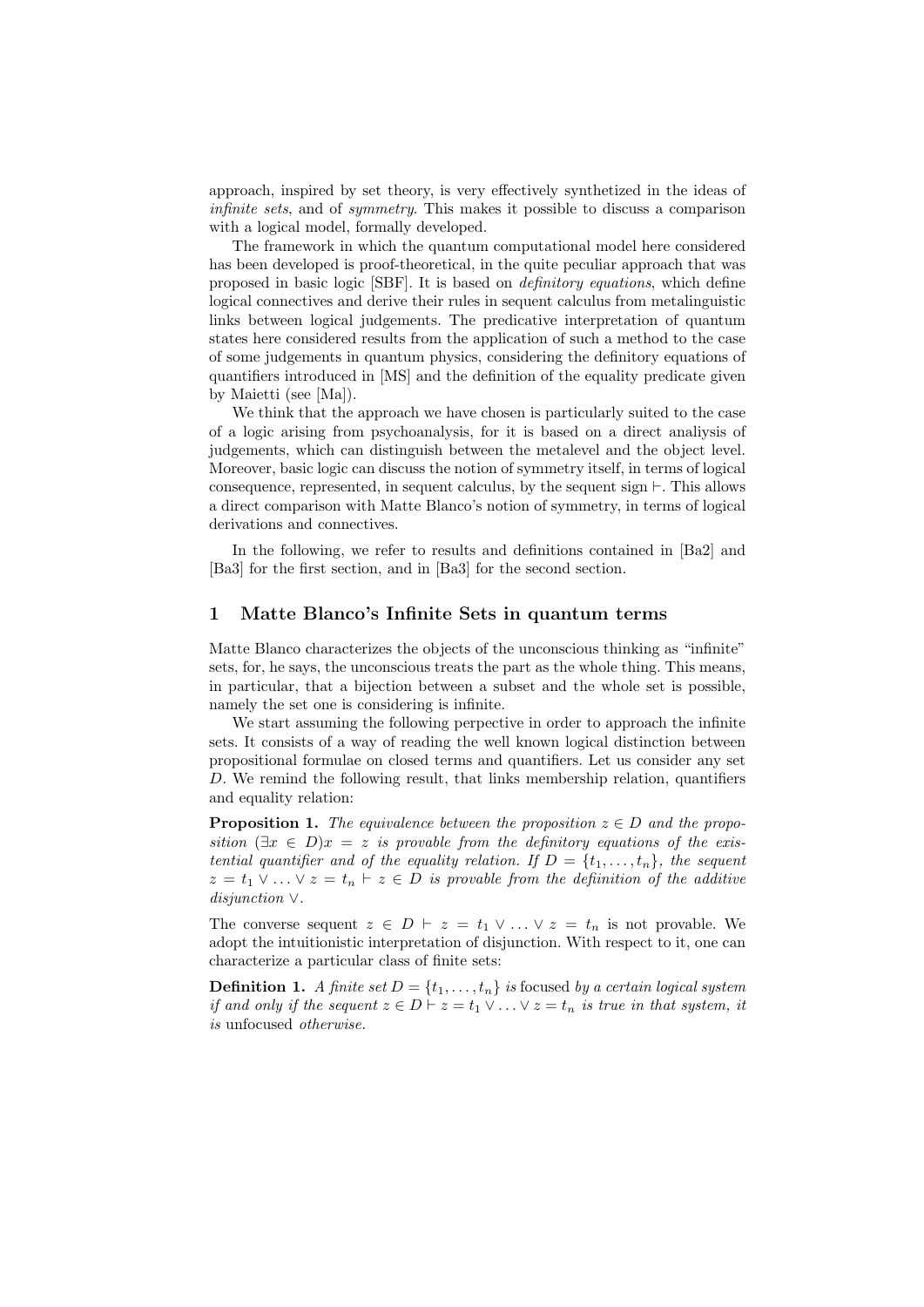approach, inspired by set theory, is very effectively synthetized in the ideas of infinite sets, and of symmetry. This makes it possible to discuss a comparison with a logical model, formally developed.

The framework in which the quantum computational model here considered has been developed is proof-theoretical, in the quite peculiar approach that was proposed in basic logic [SBF]. It is based on definitory equations, which define logical connectives and derive their rules in sequent calculus from metalinguistic links between logical judgements. The predicative interpretation of quantum states here considered results from the application of such a method to the case of some judgements in quantum physics, considering the definitory equations of quantifiers introduced in [MS] and the definition of the equality predicate given by Maietti (see [Ma]).

We think that the approach we have chosen is particularly suited to the case of a logic arising from psychoanalysis, for it is based on a direct analiysis of judgements, which can distinguish between the metalevel and the object level. Moreover, basic logic can discuss the notion of symmetry itself, in terms of logical consequence, represented, in sequent calculus, by the sequent sign  $\vdash$ . This allows a direct comparison with Matte Blanco's notion of symmetry, in terms of logical derivations and connectives.

In the following, we refer to results and definitions contained in [Ba2] and [Ba3] for the first section, and in [Ba3] for the second section.

## 1 Matte Blanco's Infinite Sets in quantum terms

Matte Blanco characterizes the objects of the unconscious thinking as "infinite" sets, for, he says, the unconscious treats the part as the whole thing. This means, in particular, that a bijection between a subset and the whole set is possible, namely the set one is considering is infinite.

We start assuming the following perpective in order to approach the infinite sets. It consists of a way of reading the well known logical distinction between propositional formulae on closed terms and quantifiers. Let us consider any set D. We remind the following result, that links membership relation, quantifiers and equality relation:

**Proposition 1.** The equivalence between the proposition  $z \in D$  and the proposition  $(\exists x \in D)x = z$  is provable from the definitory equations of the existential quantifier and of the equality relation. If  $D = \{t_1, \ldots, t_n\}$ , the sequent  $z = t_1 \vee \ldots \vee z = t_n \vdash z \in D$  is provable from the definition of the additive disjunction ∨.

The converse sequent  $z \in D \vdash z = t_1 \vee \ldots \vee z = t_n$  is not provable. We adopt the intuitionistic interpretation of disjunction. With respect to it, one can characterize a particular class of finite sets:

**Definition 1.** A finite set  $D = \{t_1, \ldots, t_n\}$  is focused by a certain logical system if and only if the sequent  $z \in D \vdash z = t_1 \vee \ldots \vee z = t_n$  is true in that system, it is unfocused otherwise.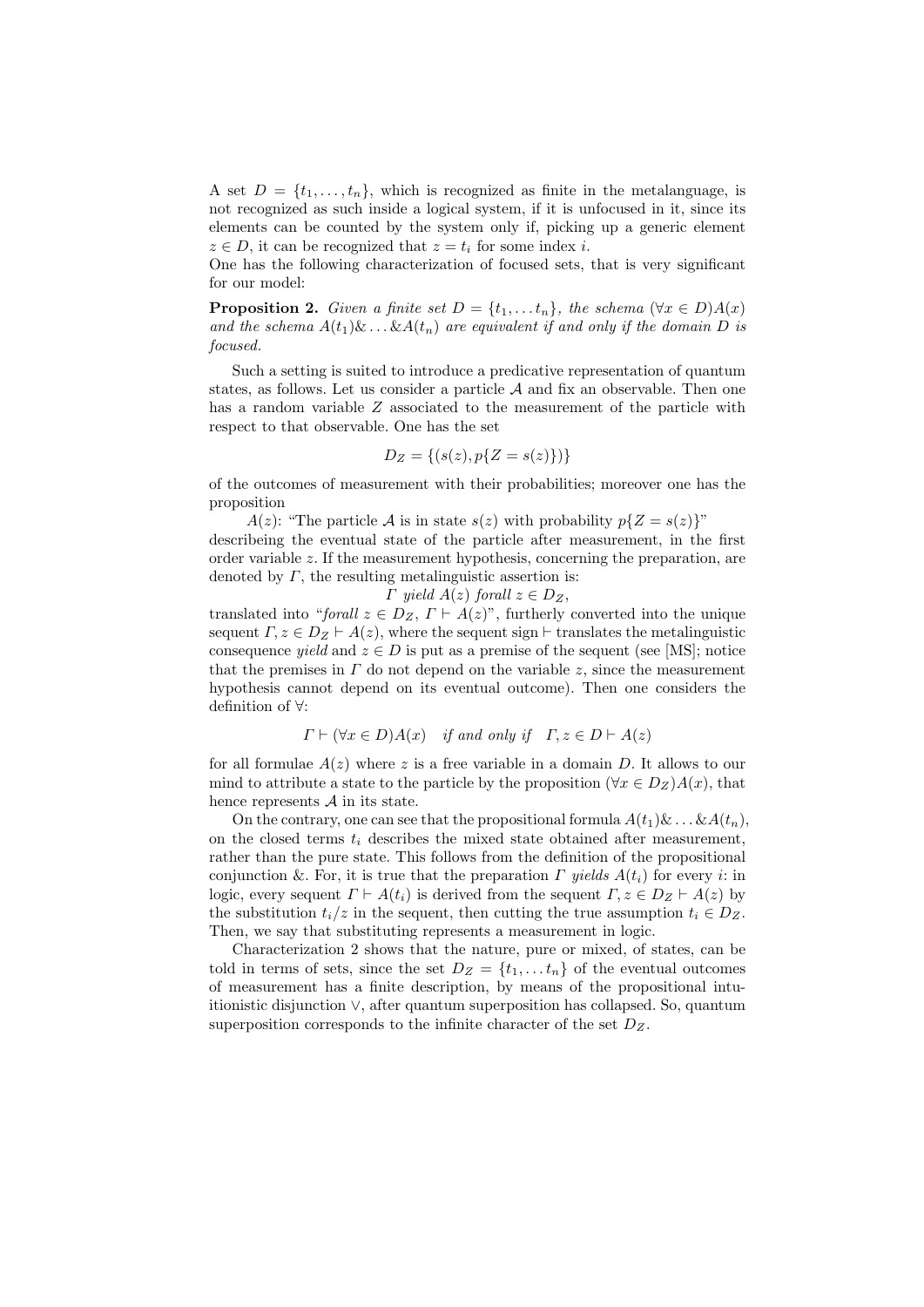A set  $D = \{t_1, \ldots, t_n\}$ , which is recognized as finite in the metalanguage, is not recognized as such inside a logical system, if it is unfocused in it, since its elements can be counted by the system only if, picking up a generic element  $z \in D$ , it can be recognized that  $z = t_i$  for some index i.

One has the following characterization of focused sets, that is very significant for our model:

**Proposition 2.** Given a finite set  $D = \{t_1, \ldots t_n\}$ , the schema  $(\forall x \in D)A(x)$ and the schema  $A(t_1)\&\ldots\&A(t_n)$  are equivalent if and only if the domain D is focused.

Such a setting is suited to introduce a predicative representation of quantum states, as follows. Let us consider a particle  $A$  and fix an observable. Then one has a random variable Z associated to the measurement of the particle with respect to that observable. One has the set

$$
D_Z = \{(s(z), p\{Z = s(z)\})\}
$$

of the outcomes of measurement with their probabilities; moreover one has the proposition

 $A(z)$ : "The particle A is in state  $s(z)$  with probability  $p\{Z = s(z)\}$ "

describeing the eventual state of the particle after measurement, in the first order variable  $z$ . If the measurement hypothesis, concerning the preparation, are denoted by  $\Gamma$ , the resulting metalinguistic assertion is:

 $\Gamma$  yield  $A(z)$  forall  $z \in D_Z$ ,

translated into "forall  $z \in D_Z$ ,  $\Gamma \vdash A(z)$ ", furtherly converted into the unique sequent  $\Gamma, z \in D_Z \vdash A(z)$ , where the sequent sign  $\vdash$  translates the metalinguistic consequence *yield* and  $z \in D$  is put as a premise of the sequent (see [MS]; notice that the premises in  $\Gamma$  do not depend on the variable z, since the measurement hypothesis cannot depend on its eventual outcome). Then one considers the definition of ∀:

$$
\Gamma \vdash (\forall x \in D)A(x)
$$
 if and only if  $\Gamma, z \in D \vdash A(z)$ 

for all formulae  $A(z)$  where z is a free variable in a domain D. It allows to our mind to attribute a state to the particle by the proposition ( $\forall x \in D_Z$ ) $A(x)$ , that hence represents  $A$  in its state.

On the contrary, one can see that the propositional formula  $A(t_1) \& \ldots \& A(t_n)$ , on the closed terms  $t_i$  describes the mixed state obtained after measurement, rather than the pure state. This follows from the definition of the propositional conjunction &. For, it is true that the preparation  $\Gamma$  yields  $A(t_i)$  for every i: in logic, every sequent  $\Gamma \vdash A(t_i)$  is derived from the sequent  $\Gamma, z \in D_Z \vdash A(z)$  by the substitution  $t_i/z$  in the sequent, then cutting the true assumption  $t_i \in D_Z$ . Then, we say that substituting represents a measurement in logic.

Characterization 2 shows that the nature, pure or mixed, of states, can be told in terms of sets, since the set  $D_Z = \{t_1, \ldots t_n\}$  of the eventual outcomes of measurement has a finite description, by means of the propositional intuitionistic disjunction ∨, after quantum superposition has collapsed. So, quantum superposition corresponds to the infinite character of the set  $D<sub>Z</sub>$ .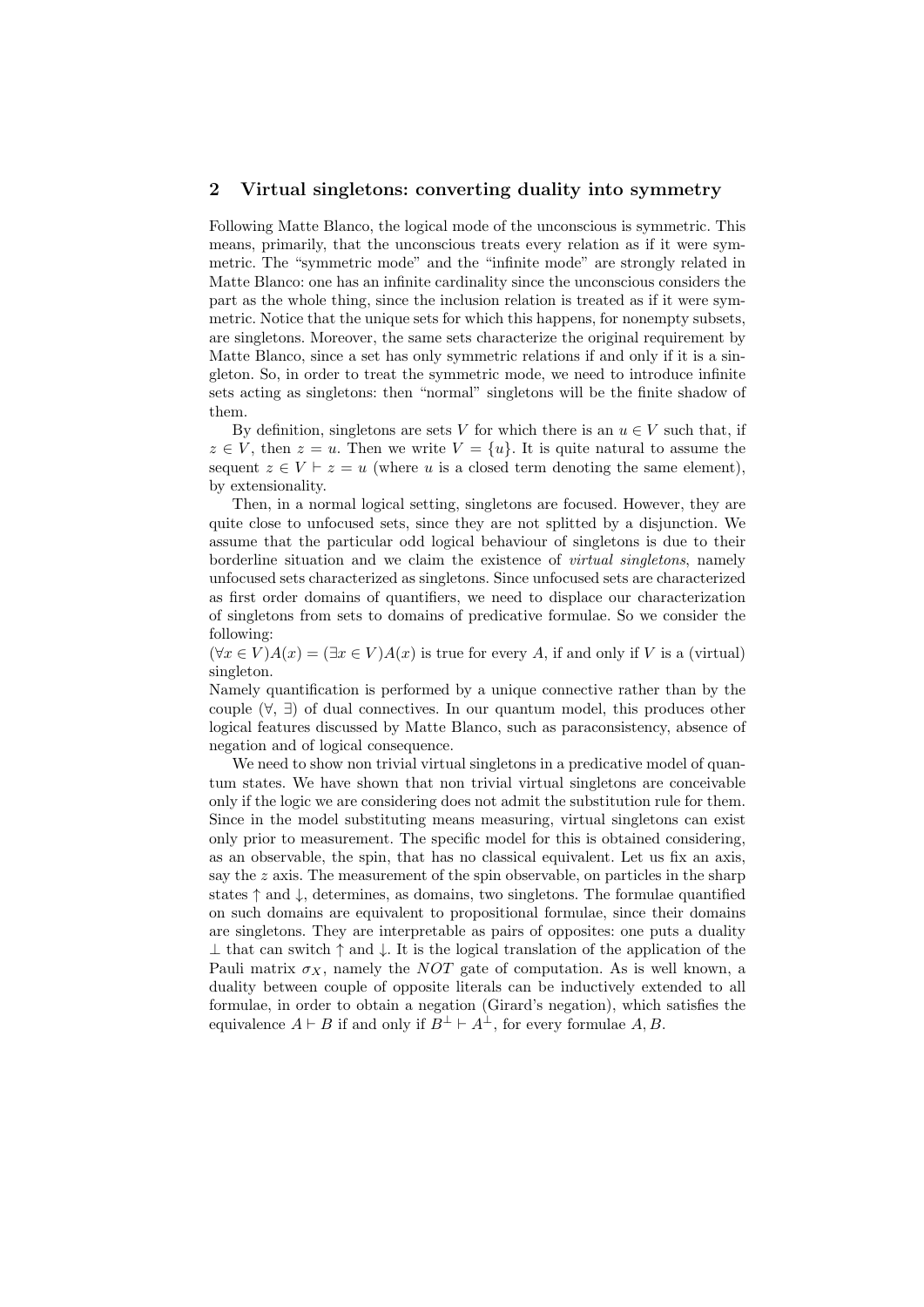#### 2 Virtual singletons: converting duality into symmetry

Following Matte Blanco, the logical mode of the unconscious is symmetric. This means, primarily, that the unconscious treats every relation as if it were symmetric. The "symmetric mode" and the "infinite mode" are strongly related in Matte Blanco: one has an infinite cardinality since the unconscious considers the part as the whole thing, since the inclusion relation is treated as if it were symmetric. Notice that the unique sets for which this happens, for nonempty subsets, are singletons. Moreover, the same sets characterize the original requirement by Matte Blanco, since a set has only symmetric relations if and only if it is a singleton. So, in order to treat the symmetric mode, we need to introduce infinite sets acting as singletons: then "normal" singletons will be the finite shadow of them.

By definition, singletons are sets V for which there is an  $u \in V$  such that, if  $z \in V$ , then  $z = u$ . Then we write  $V = \{u\}$ . It is quite natural to assume the sequent  $z \in V \vdash z = u$  (where u is a closed term denoting the same element), by extensionality.

Then, in a normal logical setting, singletons are focused. However, they are quite close to unfocused sets, since they are not splitted by a disjunction. We assume that the particular odd logical behaviour of singletons is due to their borderline situation and we claim the existence of *virtual singletons*, namely unfocused sets characterized as singletons. Since unfocused sets are characterized as first order domains of quantifiers, we need to displace our characterization of singletons from sets to domains of predicative formulae. So we consider the following:

 $(\forall x \in V)A(x) = (\exists x \in V)A(x)$  is true for every A, if and only if V is a (virtual) singleton.

Namely quantification is performed by a unique connective rather than by the couple  $(\forall, \exists)$  of dual connectives. In our quantum model, this produces other logical features discussed by Matte Blanco, such as paraconsistency, absence of negation and of logical consequence.

We need to show non trivial virtual singletons in a predicative model of quantum states. We have shown that non trivial virtual singletons are conceivable only if the logic we are considering does not admit the substitution rule for them. Since in the model substituting means measuring, virtual singletons can exist only prior to measurement. The specific model for this is obtained considering, as an observable, the spin, that has no classical equivalent. Let us fix an axis, say the  $z$  axis. The measurement of the spin observable, on particles in the sharp states ↑ and ↓, determines, as domains, two singletons. The formulae quantified on such domains are equivalent to propositional formulae, since their domains are singletons. They are interpretable as pairs of opposites: one puts a duality  $\perp$  that can switch  $\uparrow$  and  $\downarrow$ . It is the logical translation of the application of the Pauli matrix  $\sigma_X$ , namely the NOT gate of computation. As is well known, a duality between couple of opposite literals can be inductively extended to all formulae, in order to obtain a negation (Girard's negation), which satisfies the equivalence  $A \vdash B$  if and only if  $B^{\perp} \vdash A^{\perp}$ , for every formulae A, B.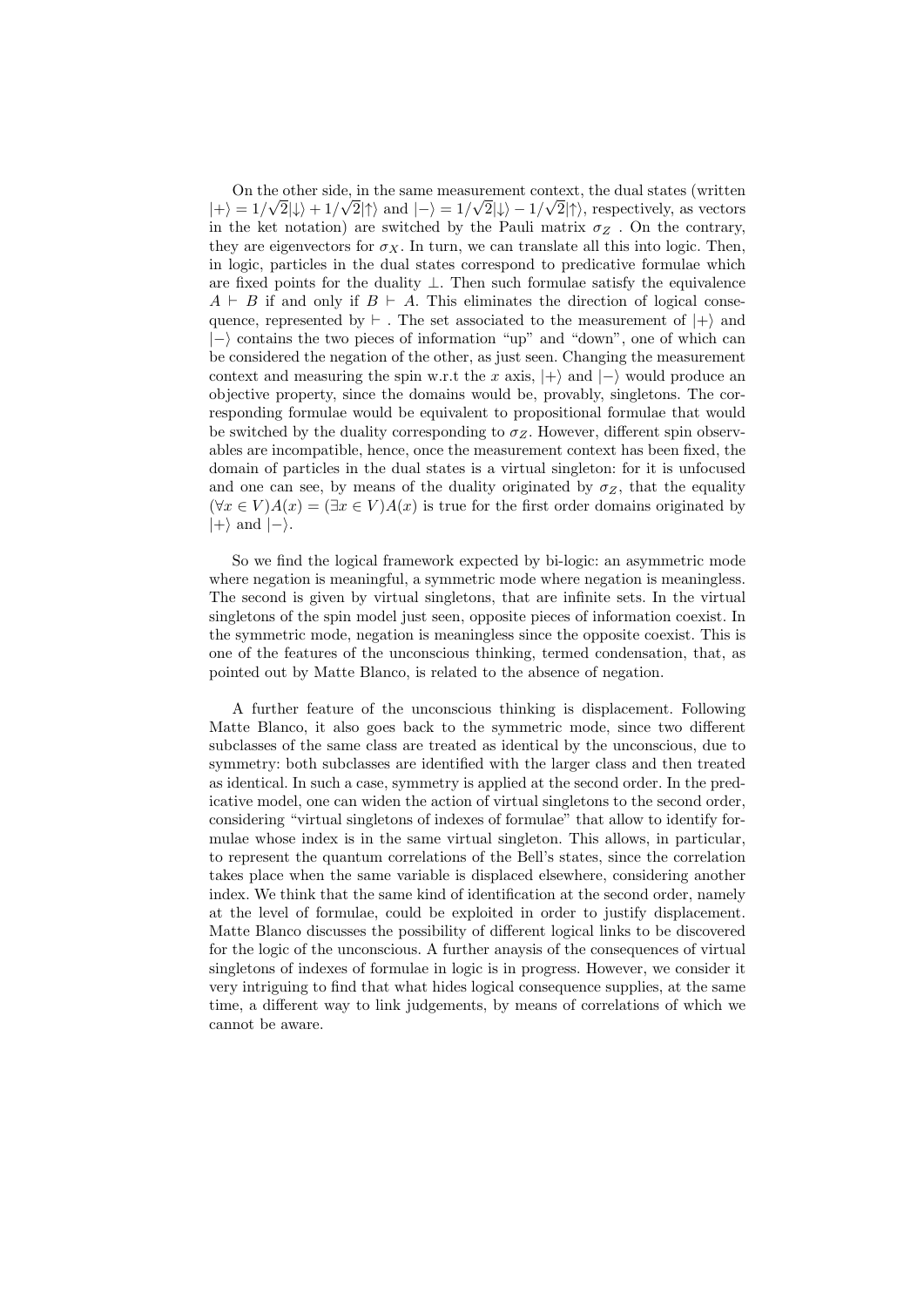On the other side, in the same measurement context, the dual states (written  $|+\rangle = 1/\sqrt{2}|\downarrow\rangle + 1/\sqrt{2}|\uparrow\rangle$  and  $|-\rangle = 1/\sqrt{2}|\downarrow\rangle - 1/\sqrt{2}|\uparrow\rangle$ , respectively, as vectors in the ket notation) are switched by the Pauli matrix  $\sigma_Z$ . On the contrary, they are eigenvectors for  $\sigma_X$ . In turn, we can translate all this into logic. Then, in logic, particles in the dual states correspond to predicative formulae which are fixed points for the duality  $\perp$ . Then such formulae satisfy the equivalence  $A \vdash B$  if and only if  $B \vdash A$ . This eliminates the direction of logical consequence, represented by  $\vdash$ . The set associated to the measurement of  $|+\rangle$  and  $|-\rangle$  contains the two pieces of information "up" and "down", one of which can be considered the negation of the other, as just seen. Changing the measurement context and measuring the spin w.r.t the x axis,  $|+\rangle$  and  $|-\rangle$  would produce an objective property, since the domains would be, provably, singletons. The corresponding formulae would be equivalent to propositional formulae that would be switched by the duality corresponding to  $\sigma_Z$ . However, different spin observables are incompatible, hence, once the measurement context has been fixed, the domain of particles in the dual states is a virtual singleton: for it is unfocused and one can see, by means of the duality originated by  $\sigma_Z$ , that the equality  $(\forall x \in V)A(x) = (\exists x \in V)A(x)$  is true for the first order domains originated by  $|+\rangle$  and  $|-\rangle$ .

So we find the logical framework expected by bi-logic: an asymmetric mode where negation is meaningful, a symmetric mode where negation is meaningless. The second is given by virtual singletons, that are infinite sets. In the virtual singletons of the spin model just seen, opposite pieces of information coexist. In the symmetric mode, negation is meaningless since the opposite coexist. This is one of the features of the unconscious thinking, termed condensation, that, as pointed out by Matte Blanco, is related to the absence of negation.

A further feature of the unconscious thinking is displacement. Following Matte Blanco, it also goes back to the symmetric mode, since two different subclasses of the same class are treated as identical by the unconscious, due to symmetry: both subclasses are identified with the larger class and then treated as identical. In such a case, symmetry is applied at the second order. In the predicative model, one can widen the action of virtual singletons to the second order, considering "virtual singletons of indexes of formulae" that allow to identify formulae whose index is in the same virtual singleton. This allows, in particular, to represent the quantum correlations of the Bell's states, since the correlation takes place when the same variable is displaced elsewhere, considering another index. We think that the same kind of identification at the second order, namely at the level of formulae, could be exploited in order to justify displacement. Matte Blanco discusses the possibility of different logical links to be discovered for the logic of the unconscious. A further anaysis of the consequences of virtual singletons of indexes of formulae in logic is in progress. However, we consider it very intriguing to find that what hides logical consequence supplies, at the same time, a different way to link judgements, by means of correlations of which we cannot be aware.